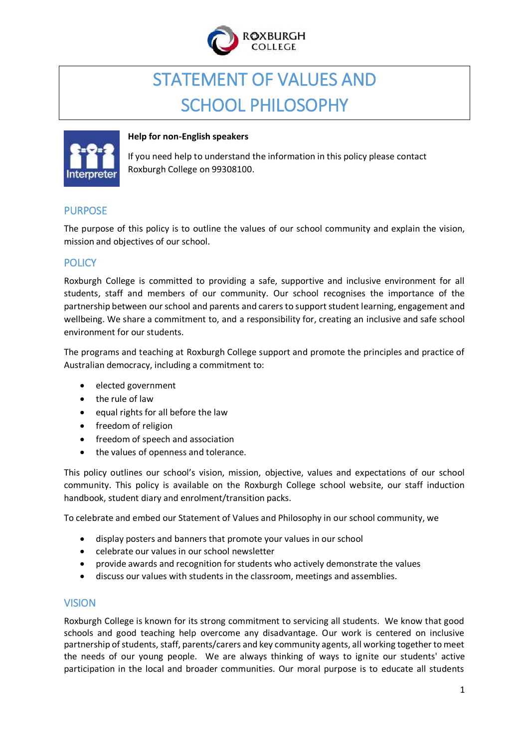

# STATEMENT OF VALUES AND SCHOOL PHILOSOPHY



#### **Help for non-English speakers**

If you need help to understand the information in this policy please contact Roxburgh College on 99308100.

## PURPOSE

The purpose of this policy is to outline the values of our school community and explain the vision, mission and objectives of our school.

## **POLICY**

Roxburgh College is committed to providing a safe, supportive and inclusive environment for all students, staff and members of our community. Our school recognises the importance of the partnership between our school and parents and carersto support student learning, engagement and wellbeing. We share a commitment to, and a responsibility for, creating an inclusive and safe school environment for our students.

The programs and teaching at Roxburgh College support and promote the principles and practice of Australian democracy, including a commitment to:

- elected government
- the rule of law
- equal rights for all before the law
- freedom of religion
- freedom of speech and association
- the values of openness and tolerance.

This policy outlines our school's vision, mission, objective, values and expectations of our school community. This policy is available on the Roxburgh College school website, our staff induction handbook, student diary and enrolment/transition packs.

To celebrate and embed our Statement of Values and Philosophy in our school community, we

- display posters and banners that promote your values in our school
- celebrate our values in our school newsletter
- provide awards and recognition for students who actively demonstrate the values
- discuss our values with students in the classroom, meetings and assemblies.

#### VISION

Roxburgh College is known for its strong commitment to servicing all students. We know that good schools and good teaching help overcome any disadvantage. Our work is centered on inclusive partnership of students, staff, parents/carers and key community agents, all working together to meet the needs of our young people. We are always thinking of ways to ignite our students' active participation in the local and broader communities. Our moral purpose is to educate all students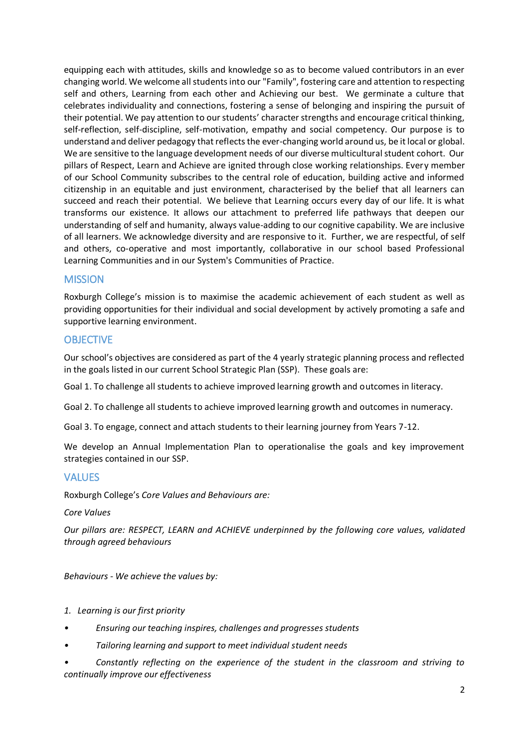equipping each with attitudes, skills and knowledge so as to become valued contributors in an ever changing world. We welcome all students into our "Family", fostering care and attention to respecting self and others, Learning from each other and Achieving our best. We germinate a culture that celebrates individuality and connections, fostering a sense of belonging and inspiring the pursuit of their potential. We pay attention to our students' character strengths and encourage critical thinking, self-reflection, self-discipline, self-motivation, empathy and social competency. Our purpose is to understand and deliver pedagogy that reflects the ever-changing world around us, be it local or global. We are sensitive to the language development needs of our diverse multicultural student cohort. Our pillars of Respect, Learn and Achieve are ignited through close working relationships. Every member of our School Community subscribes to the central role of education, building active and informed citizenship in an equitable and just environment, characterised by the belief that all learners can succeed and reach their potential. We believe that Learning occurs every day of our life. It is what transforms our existence. It allows our attachment to preferred life pathways that deepen our understanding of self and humanity, always value-adding to our cognitive capability. We are inclusive of all learners. We acknowledge diversity and are responsive to it. Further, we are respectful, of self and others, co-operative and most importantly, collaborative in our school based Professional Learning Communities and in our System's Communities of Practice.

#### **MISSION**

Roxburgh College's mission is to maximise the academic achievement of each student as well as providing opportunities for their individual and social development by actively promoting a safe and supportive learning environment.

#### **OBJECTIVE**

Our school's objectives are considered as part of the 4 yearly strategic planning process and reflected in the goals listed in our current School Strategic Plan (SSP). These goals are:

Goal 1. To challenge all students to achieve improved learning growth and outcomes in literacy.

Goal 2. To challenge all students to achieve improved learning growth and outcomes in numeracy.

Goal 3. To engage, connect and attach students to their learning journey from Years 7-12.

We develop an Annual Implementation Plan to operationalise the goals and key improvement strategies contained in our SSP.

#### VALUES

Roxburgh College's *Core Values and Behaviours are:*

*Core Values*

*Our pillars are: RESPECT, LEARN and ACHIEVE underpinned by the following core values, validated through agreed behaviours*

*Behaviours - We achieve the values by:*

- *1. Learning is our first priority*
- *• Ensuring our teaching inspires, challenges and progresses students*
- *• Tailoring learning and support to meet individual student needs*
- *• Constantly reflecting on the experience of the student in the classroom and striving to continually improve our effectiveness*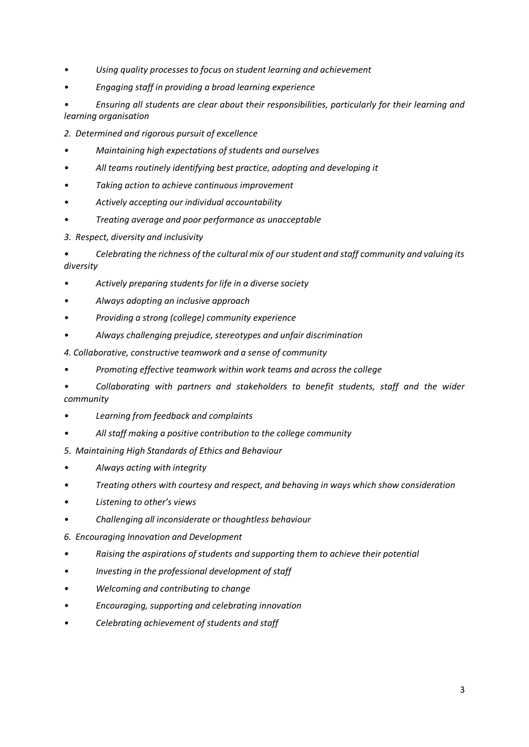- *• Using quality processes to focus on student learning and achievement*
- *• Engaging staff in providing a broad learning experience*
- *• Ensuring all students are clear about their responsibilities, particularly for their learning and learning organisation*
- *2. Determined and rigorous pursuit of excellence*
- *• Maintaining high expectations of students and ourselves*
- *• All teams routinely identifying best practice, adopting and developing it*
- *• Taking action to achieve continuous improvement*
- *• Actively accepting our individual accountability*
- *• Treating average and poor performance as unacceptable*
- *3. Respect, diversity and inclusivity*

*• Celebrating the richness of the cultural mix of our student and staff community and valuing its diversity*

- *• Actively preparing students for life in a diverse society*
- *• Always adopting an inclusive approach*
- *• Providing a strong (college) community experience*
- *• Always challenging prejudice, stereotypes and unfair discrimination*
- *4. Collaborative, constructive teamwork and a sense of community*
- *• Promoting effective teamwork within work teams and across the college*
- *• Collaborating with partners and stakeholders to benefit students, staff and the wider community*
- *• Learning from feedback and complaints*
- *• All staff making a positive contribution to the college community*
- *5. Maintaining High Standards of Ethics and Behaviour*
- *• Always acting with integrity*
- *• Treating others with courtesy and respect, and behaving in ways which show consideration*
- *• Listening to other's views*
- *• Challenging all inconsiderate or thoughtless behaviour*
- *6. Encouraging Innovation and Development*
- *• Raising the aspirations of students and supporting them to achieve their potential*
- *• Investing in the professional development of staff*
- *• Welcoming and contributing to change*
- *• Encouraging, supporting and celebrating innovation*
- *• Celebrating achievement of students and staff*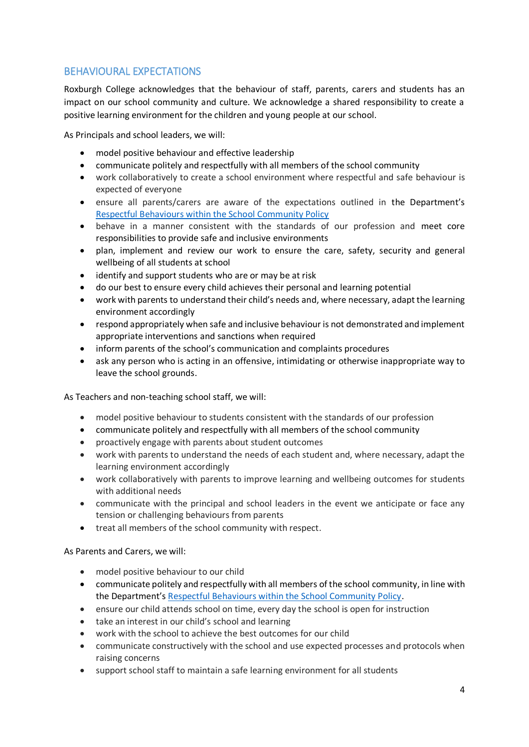## BEHAVIOURAL EXPECTATIONS

Roxburgh College acknowledges that the behaviour of staff, parents, carers and students has an impact on our school community and culture. We acknowledge a shared responsibility to create a positive learning environment for the children and young people at our school.

As Principals and school leaders, we will:

- model positive behaviour and effective leadership
- communicate politely and respectfully with all members of the school community
- work collaboratively to create a school environment where respectful and safe behaviour is expected of everyone
- ensure all parents/carers are aware of the expectations outlined in the Department's [Respectful Behaviours within the School Community Policy](https://www.education.vic.gov.au/Pages/Respectful-Behaviours-within-the-School-Community-Policy.aspx)
- behave in a manner consistent with the standards of our profession and meet core responsibilities to provide safe and inclusive environments
- plan, implement and review our work to ensure the care, safety, security and general wellbeing of all students at school
- identify and support students who are or may be at risk
- do our best to ensure every child achieves their personal and learning potential
- work with parents to understand their child's needs and, where necessary, adapt the learning environment accordingly
- respond appropriately when safe and inclusive behaviour is not demonstrated and implement appropriate interventions and sanctions when required
- inform parents of the school's communication and complaints procedures
- ask any person who is acting in an offensive, intimidating or otherwise inappropriate way to leave the school grounds.

As Teachers and non-teaching school staff, we will:

- model positive behaviour to students consistent with the standards of our profession
- communicate politely and respectfully with all members of the school community
- proactively engage with parents about student outcomes
- work with parents to understand the needs of each student and, where necessary, adapt the learning environment accordingly
- work collaboratively with parents to improve learning and wellbeing outcomes for students with additional needs
- communicate with the principal and school leaders in the event we anticipate or face any tension or challenging behaviours from parents
- treat all members of the school community with respect.

As Parents and Carers, we will:

- model positive behaviour to our child
- communicate politely and respectfully with all members of the school community, in line with the Department's [Respectful Behaviours within the School Community Policy.](https://www.education.vic.gov.au/Pages/Respectful-Behaviours-within-the-School-Community-Policy.aspx)
- ensure our child attends school on time, every day the school is open for instruction
- take an interest in our child's school and learning
- work with the school to achieve the best outcomes for our child
- communicate constructively with the school and use expected processes and protocols when raising concerns
- support school staff to maintain a safe learning environment for all students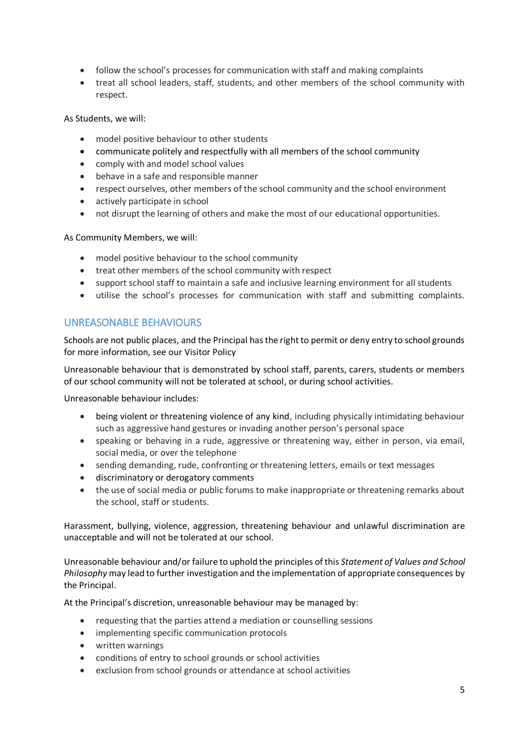- follow the school's processes for communication with staff and making complaints
- treat all school leaders, staff, students, and other members of the school community with respect.

As Students, we will:

- model positive behaviour to other students
- communicate politely and respectfully with all members of the school community
- comply with and model school values
- behave in a safe and responsible manner
- respect ourselves, other members of the school community and the school environment
- actively participate in school
- not disrupt the learning of others and make the most of our educational opportunities.

As Community Members, we will:

- model positive behaviour to the school community
- treat other members of the school community with respect
- support school staff to maintain a safe and inclusive learning environment for all students
- utilise the school's processes for communication with staff and submitting complaints.

## UNREASONABLE BEHAVIOURS

Schools are not public places, and the Principal has the right to permit or deny entry to school grounds for more information, see our Visitor Policy

Unreasonable behaviour that is demonstrated by school staff, parents, carers, students or members of our school community will not be tolerated at school, or during school activities.

Unreasonable behaviour includes:

- being violent or threatening violence of any kind, including physically intimidating behaviour such as aggressive hand gestures or invading another person's personal space
- speaking or behaving in a rude, aggressive or threatening way, either in person, via email, social media, or over the telephone
- sending demanding, rude, confronting or threatening letters, emails or text messages
- discriminatory or derogatory comments
- the use of social media or public forums to make inappropriate or threatening remarks about the school, staff or students.

Harassment, bullying, violence, aggression, threatening behaviour and unlawful discrimination are unacceptable and will not be tolerated at our school.

Unreasonable behaviour and/or failure to uphold the principles of this *Statement of Values and School Philosophy* may lead to further investigation and the implementation of appropriate consequences by the Principal.

At the Principal's discretion, unreasonable behaviour may be managed by:

- requesting that the parties attend a mediation or counselling sessions
- implementing specific communication protocols
- written warnings
- conditions of entry to school grounds or school activities
- exclusion from school grounds or attendance at school activities